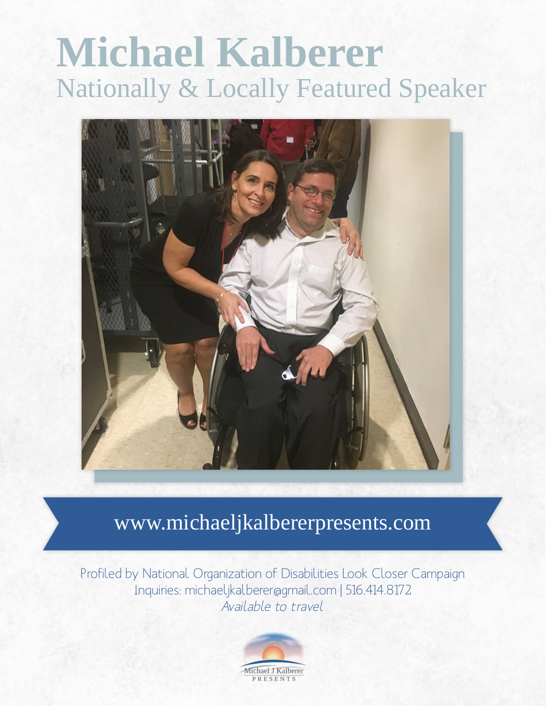# **Michael Kalberer** Nationally & Locally Featured Speaker



# www.michaeljkalbererpresents.com

Profiled by National Organization of Disabilities Look Closer Campaign Inquiries: michaeljkalberer@gmail.com | 516.414.8172 Available to travel